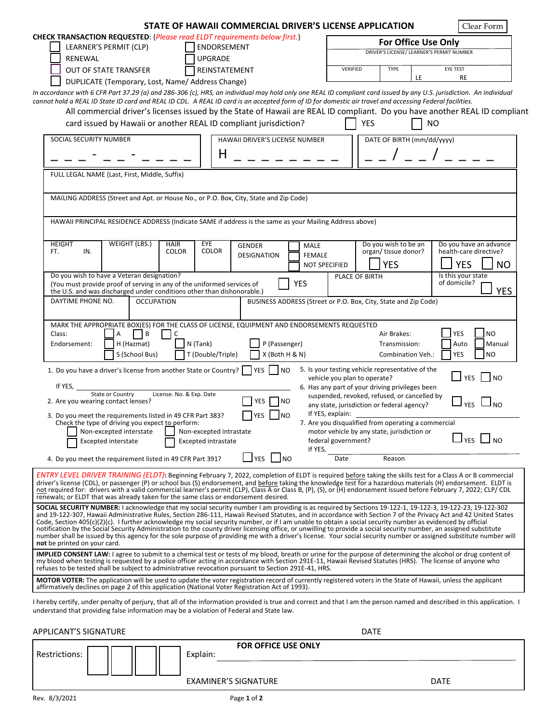|                                                                                                                                                                                                                                                                                                                                                                                                                                     | STATE OF HAWAII COMMERCIAL DRIVER'S LICENSE APPLICATION                                                                                                                                                                                                                                                                                |                                                                                 | Clear Form                           |  |  |  |
|-------------------------------------------------------------------------------------------------------------------------------------------------------------------------------------------------------------------------------------------------------------------------------------------------------------------------------------------------------------------------------------------------------------------------------------|----------------------------------------------------------------------------------------------------------------------------------------------------------------------------------------------------------------------------------------------------------------------------------------------------------------------------------------|---------------------------------------------------------------------------------|--------------------------------------|--|--|--|
| <b>CHECK TRANSACTION REQUESTED: (Please read ELDT requirements below first.)</b>                                                                                                                                                                                                                                                                                                                                                    |                                                                                                                                                                                                                                                                                                                                        | For Office Use Only                                                             |                                      |  |  |  |
| LEARNER'S PERMIT (CLP)                                                                                                                                                                                                                                                                                                                                                                                                              | ENDORSEMENT                                                                                                                                                                                                                                                                                                                            | DRIVER'S LICENSE/ LEARNER'S PERMIT NUMBER                                       |                                      |  |  |  |
| <b>RENEWAL</b>                                                                                                                                                                                                                                                                                                                                                                                                                      | <b>UPGRADE</b>                                                                                                                                                                                                                                                                                                                         |                                                                                 |                                      |  |  |  |
| <b>OUT OF STATE TRANSFER</b>                                                                                                                                                                                                                                                                                                                                                                                                        | REINSTATEMENT                                                                                                                                                                                                                                                                                                                          | <b>TYPE</b><br>EYE TEST<br>VERIFIED<br>LE                                       | <b>RE</b>                            |  |  |  |
| DUPLICATE (Temporary, Lost, Name/ Address Change)<br>In accordance with 6 CFR Part 37.29 (a) and 286-306 (c), HRS, an individual may hold only one REAL ID compliant card issued by any U.S. jurisdiction. An individual                                                                                                                                                                                                            |                                                                                                                                                                                                                                                                                                                                        |                                                                                 |                                      |  |  |  |
| cannot hold a REAL ID State ID card and REAL ID CDL. A REAL ID card is an accepted form of ID for domestic air travel and accessing Federal facilities.                                                                                                                                                                                                                                                                             |                                                                                                                                                                                                                                                                                                                                        |                                                                                 |                                      |  |  |  |
|                                                                                                                                                                                                                                                                                                                                                                                                                                     | All commercial driver's licenses issued by the State of Hawaii are REAL ID compliant. Do you have another REAL ID compliant                                                                                                                                                                                                            |                                                                                 |                                      |  |  |  |
|                                                                                                                                                                                                                                                                                                                                                                                                                                     | card issued by Hawaii or another REAL ID compliant jurisdiction?                                                                                                                                                                                                                                                                       | <b>YES</b><br><b>NO</b>                                                         |                                      |  |  |  |
| SOCIAL SECURITY NUMBER                                                                                                                                                                                                                                                                                                                                                                                                              | HAWAII DRIVER'S LICENSE NUMBER                                                                                                                                                                                                                                                                                                         | DATE OF BIRTH (mm/dd/yyyy)                                                      |                                      |  |  |  |
|                                                                                                                                                                                                                                                                                                                                                                                                                                     | Н                                                                                                                                                                                                                                                                                                                                      |                                                                                 |                                      |  |  |  |
|                                                                                                                                                                                                                                                                                                                                                                                                                                     |                                                                                                                                                                                                                                                                                                                                        |                                                                                 |                                      |  |  |  |
| FULL LEGAL NAME (Last, First, Middle, Suffix)                                                                                                                                                                                                                                                                                                                                                                                       |                                                                                                                                                                                                                                                                                                                                        |                                                                                 |                                      |  |  |  |
| MAILING ADDRESS (Street and Apt. or House No., or P.O. Box, City, State and Zip Code)                                                                                                                                                                                                                                                                                                                                               |                                                                                                                                                                                                                                                                                                                                        |                                                                                 |                                      |  |  |  |
|                                                                                                                                                                                                                                                                                                                                                                                                                                     |                                                                                                                                                                                                                                                                                                                                        |                                                                                 |                                      |  |  |  |
|                                                                                                                                                                                                                                                                                                                                                                                                                                     | HAWAII PRINCIPAL RESIDENCE ADDRESS (Indicate SAME if address is the same as your Mailing Address above)                                                                                                                                                                                                                                |                                                                                 |                                      |  |  |  |
|                                                                                                                                                                                                                                                                                                                                                                                                                                     |                                                                                                                                                                                                                                                                                                                                        |                                                                                 |                                      |  |  |  |
| <b>HEIGHT</b><br><b>WEIGHT (LBS.)</b><br><b>HAIR</b>                                                                                                                                                                                                                                                                                                                                                                                | EYE<br><b>GENDER</b><br>MALE                                                                                                                                                                                                                                                                                                           | Do you wish to be an                                                            | Do you have an advance               |  |  |  |
| <b>COLOR</b><br>FT.<br>IN.                                                                                                                                                                                                                                                                                                                                                                                                          | <b>COLOR</b><br><b>DESIGNATION</b><br><b>FEMALE</b>                                                                                                                                                                                                                                                                                    | organ/ tissue donor?                                                            | health-care directive?               |  |  |  |
| Do you wish to have a Veteran designation?                                                                                                                                                                                                                                                                                                                                                                                          | <b>NOT SPECIFIED</b>                                                                                                                                                                                                                                                                                                                   | YES                                                                             | <b>YES</b><br><b>NO</b>              |  |  |  |
| (You must provide proof of serving in any of the uniformed services of                                                                                                                                                                                                                                                                                                                                                              | <b>YES</b>                                                                                                                                                                                                                                                                                                                             | PLACE OF BIRTH                                                                  | Is this your state<br>of domicile?   |  |  |  |
| the U.S. and was discharged under conditions other than dishonorable.)                                                                                                                                                                                                                                                                                                                                                              |                                                                                                                                                                                                                                                                                                                                        |                                                                                 | <b>YES</b>                           |  |  |  |
| DAYTIME PHONE NO.<br><b>OCCUPATION</b>                                                                                                                                                                                                                                                                                                                                                                                              |                                                                                                                                                                                                                                                                                                                                        | BUSINESS ADDRESS (Street or P.O. Box, City, State and Zip Code)                 |                                      |  |  |  |
|                                                                                                                                                                                                                                                                                                                                                                                                                                     | MARK THE APPROPRIATE BOX(ES) FOR THE CLASS OF LICENSE, EQUIPMENT AND ENDORSEMENTS REQUESTED                                                                                                                                                                                                                                            |                                                                                 |                                      |  |  |  |
| B<br>Class:<br>Α<br>C                                                                                                                                                                                                                                                                                                                                                                                                               |                                                                                                                                                                                                                                                                                                                                        | Air Brakes:                                                                     | <b>INO</b><br><b>YES</b>             |  |  |  |
| H (Hazmat)<br>Endorsement:                                                                                                                                                                                                                                                                                                                                                                                                          | N (Tank)<br>P (Passenger)                                                                                                                                                                                                                                                                                                              | Transmission:                                                                   | Auto<br>Manual                       |  |  |  |
| S (School Bus)                                                                                                                                                                                                                                                                                                                                                                                                                      | X (Both H & N)<br>T (Double/Triple)                                                                                                                                                                                                                                                                                                    | Combination Veh.:                                                               | YES<br>N <sub>O</sub>                |  |  |  |
| 1. Do you have a driver's license from another State or Country?                                                                                                                                                                                                                                                                                                                                                                    | <b>YES</b><br>I NO                                                                                                                                                                                                                                                                                                                     | 5. Is your testing vehicle representative of the                                |                                      |  |  |  |
| If YES,                                                                                                                                                                                                                                                                                                                                                                                                                             |                                                                                                                                                                                                                                                                                                                                        | vehicle you plan to operate?<br>6. Has any part of your driving privileges been | $\overline{\phantom{a}}$ YES<br>I NO |  |  |  |
| State or Country                                                                                                                                                                                                                                                                                                                                                                                                                    | License. No. & Exp. Date                                                                                                                                                                                                                                                                                                               | suspended, revoked, refused, or cancelled by                                    |                                      |  |  |  |
| 2. Are you wearing contact lenses?                                                                                                                                                                                                                                                                                                                                                                                                  | YES<br><b>NO</b>                                                                                                                                                                                                                                                                                                                       | any state, jurisdiction or federal agency?                                      | <b>YES</b><br>סא ד                   |  |  |  |
| 3. Do you meet the requirements listed in 49 CFR Part 383?<br>Check the type of driving you expect to perform:                                                                                                                                                                                                                                                                                                                      | <b>YES</b><br><b>NO</b>                                                                                                                                                                                                                                                                                                                | If YES, explain:<br>7. Are you disqualified from operating a commercial         |                                      |  |  |  |
| Non-excepted interstate Non-excepted intrastate                                                                                                                                                                                                                                                                                                                                                                                     |                                                                                                                                                                                                                                                                                                                                        | motor vehicle by any state, jurisdiction or                                     |                                      |  |  |  |
| <b>Excepted interstate</b>                                                                                                                                                                                                                                                                                                                                                                                                          | <b>Excepted intrastate</b>                                                                                                                                                                                                                                                                                                             | federal government?                                                             | <b>YES</b>                           |  |  |  |
| 4. Do you meet the requirement listed in 49 CFR Part 391?                                                                                                                                                                                                                                                                                                                                                                           | If YES,<br>$\Box$ YES $\Box$ NO                                                                                                                                                                                                                                                                                                        | Date<br>Reason                                                                  |                                      |  |  |  |
|                                                                                                                                                                                                                                                                                                                                                                                                                                     | ENTRY LEVEL DRIVER TRAINING (ELDT): Beginning February 7, 2022, completion of ELDT is required before taking the skills test for a Class A or B commercial                                                                                                                                                                             |                                                                                 |                                      |  |  |  |
|                                                                                                                                                                                                                                                                                                                                                                                                                                     | driver's license (CDL), or passenger (P) or school bus (S) endorsement, and before taking the knowledge test for a hazardous materials (H) endorsement. ELDT is<br>not required for: drivers with a valid commercial learner's permit (CLP), Class A or Class B, (P), (S), or (H) endorsement issued before February 7, 2022; CLP/ CDL |                                                                                 |                                      |  |  |  |
| renewals; or ELDT that was already taken for the same class or endorsement desired.                                                                                                                                                                                                                                                                                                                                                 | SOCIAL SECURITY NUMBER: I acknowledge that my social security number I am providing is as required by Sections 19-122-1, 19-122-3, 19-122-23, 19-122-302                                                                                                                                                                               |                                                                                 |                                      |  |  |  |
|                                                                                                                                                                                                                                                                                                                                                                                                                                     | and 19-122-307, Hawaii Administrative Rules, Section 286-111, Hawaii Revised Statutes, and in accordance with Section 7 of the Privacy Act and 42 United States                                                                                                                                                                        |                                                                                 |                                      |  |  |  |
|                                                                                                                                                                                                                                                                                                                                                                                                                                     | Code, Section 405(c)(2)(c). I further acknowledge my social security number, or if I am unable to obtain a social security number as evidenced by official<br>notification by the Social Security Administration to the county driver licensing office, or unwilling to provide a social security number, an assigned substitute       |                                                                                 |                                      |  |  |  |
| not be printed on your card.                                                                                                                                                                                                                                                                                                                                                                                                        | number shall be issued by this agency for the sole purpose of providing me with a driver's license. Your social security number or assigned substitute number will                                                                                                                                                                     |                                                                                 |                                      |  |  |  |
|                                                                                                                                                                                                                                                                                                                                                                                                                                     |                                                                                                                                                                                                                                                                                                                                        |                                                                                 |                                      |  |  |  |
| IMPLIED CONSENT LAW: I agree to submit to a chemical test or tests of my blood, breath or urine for the purpose of determining the alcohol or drug content of<br>my blood when testing is requested by a police officer acting in accordance with Section 291E-11, Hawaii Revised Statutes (HRS). The license of anyone who<br>refuses to be tested shall be subject to administrative revocation pursuant to Section 291E-41, HRS. |                                                                                                                                                                                                                                                                                                                                        |                                                                                 |                                      |  |  |  |
| MOTOR VOTER: The application will be used to update the voter registration record of currently registered voters in the State of Hawaii, unless the applicant<br>affirmatively declines on page 2 of this application (National Voter Registration Act of 1993).                                                                                                                                                                    |                                                                                                                                                                                                                                                                                                                                        |                                                                                 |                                      |  |  |  |
| I hereby certify, under penalty of perjury, that all of the information provided is true and correct and that I am the person named and described in this application. I<br>understand that providing false information may be a violation of Federal and State law.                                                                                                                                                                |                                                                                                                                                                                                                                                                                                                                        |                                                                                 |                                      |  |  |  |
| APPLICANT'S SIGNATURE                                                                                                                                                                                                                                                                                                                                                                                                               |                                                                                                                                                                                                                                                                                                                                        | <b>DATE</b>                                                                     |                                      |  |  |  |
| $\Box$                                                                                                                                                                                                                                                                                                                                                                                                                              | FOR OFFICE USE ONLY                                                                                                                                                                                                                                                                                                                    |                                                                                 |                                      |  |  |  |

| Restrictions: |               |  | Explain: |                             |             |
|---------------|---------------|--|----------|-----------------------------|-------------|
|               |               |  |          |                             |             |
|               |               |  |          | <b>EXAMINER'S SIGNATURE</b> | <b>DATE</b> |
|               | Rev. 8/3/2021 |  |          | Page 1 of 2                 |             |